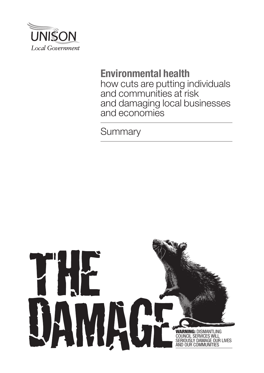

# **Environmental health**

how cuts are putting individuals and communities at risk and damaging local businesses and economies

**Summary** 

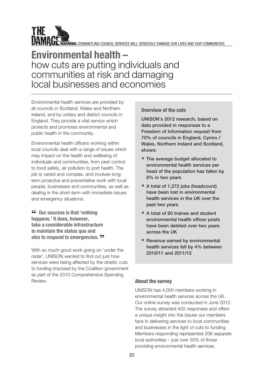

WE WARNING: DISMANTLING COUNCIL SERVICES WILL SERIOUSLY DAMAGE OUR LIVES AND OUR COMMUNITIES

# **Environmental health –**  how cuts are putting individuals and communities at risk and damaging local businesses and economies

Environmental health services are provided by all councils in Scotland, Wales and Northern Ireland, and by unitary and district councils in England. They provide a vital service which protects and promotes environmental and public health in the community.

Environmental health officers working within local councils deal with a range of issues which may impact on the health and wellbeing of individuals and communities, from pest control to food safety, air pollution to port health. The job is varied and complex, and involves longterm proactive and preventative work with local people, businesses and communities, as well as dealing in the short-term with immediate issues and emergency situations.

**"COURCHERE COURT:** COURTER **COURT:** COURTER **COURTER happens.' It does, however, take a considerable infrastructure to maintain the status quo and also to respond to emergencies. "**

With so much good work going on 'under the radar', UNISON wanted to find out just how services were being affected by the drastic cuts to funding imposed by the Coalition government as part of the 2010 Comprehensive Spending Review. **About the survey** 

# Overview of the cuts

UNISON's 2012 research, based on data provided in responses to a Freedom of Information request from 70% of councils in England, Cymru / Wales, Northern Ireland and Scotland, shows:

- The average budget allocated to environmental health services per head of the population has fallen by 8% in two years
- A total of 1,272 jobs (headcount) have been lost in environmental health services in the UK over the past two years
- A total of 60 trainee and student environmental health officer posts have been deleted over two years across the UK
- Revenue earned by environmental health services fell by 4% between 2010/11 and 2011/12

UNISON has 4,000 members working in environmental health services across the UK. Our online survey was conducted in June 2012. The survey attracted 422 responses and offers a unique insight into the issues our members face in delivering services to local communities and businesses in the light of cuts to funding. Members responding represented 206 separate local authorities – just over 50% of those providing environmental health services.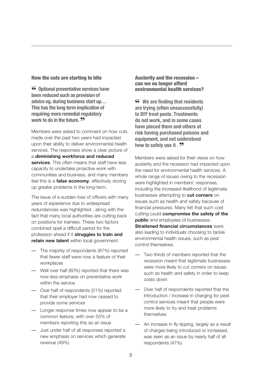#### How the cuts are starting to bite

**" Optional preventative services have been reduced such as provision of advice eg. during business start up… This has the long term implication of requiring more remedial regulatory**  work to do in the future. **??** 

Members were asked to comment on how cuts made over the past two years had impacted upon their ability to deliver environmental health services. The responses show a clear picture of a **diminishing workforce and reduced services**. This often means that staff have less capacity to undertake proactive work with communities and business, and many members feel this is a **false economy**, effectively storing up greater problems in the long-term.

The issue of a sudden loss of officers with many years of experience due to widespread redundancies was highlighted , along with the fact that many local authorities are cutting back on positions for trainees. These two factors combined spell a difficult period for the profession ahead if it **struggles to train and retain new talent** within local government.

- The majority of respondents (87%) reported that fewer staff were now a feature of their workplaces
- Well over half (60%) reported that there was now less emphasis on preventative work within the service
- Over half of respondents (51%) reported that their employer had now ceased to provide some services
- Longer response times now appear to be a common feature, with over 50% of members reporting this as an issue
- Just under half of all responses reported a new emphasis on services which generate revenue (49%)

Austerity and the recession – can we no longer afford environmental health services?

**" We are finding that residents are trying (often unsuccessfully) to DIY treat pests. Treatments do not work, and in some cases have placed them and others at risk having purchased poisons and equipment, and not understood how to safely use it . "**

Members were asked for their views on how austerity and the recession had impacted upon the need for environmental health services. A whole range of issues owing to the recession were highlighted in members' responses, including the increased likelihood of legitimate businesses attempting to **cut corners** on issues such as health and safety because of financial pressures. Many felt that such cost cutting could **compromise the safety of the public** and employees of businesses. **Straitened financial circumstances** were also leading to individuals choosing to tackle environmental health issues, such as pest control themselves.

- Two thirds of members reported that the recession meant that legitimate businesses were more likely to cut corners on issues such as health and safety in order to keep costs down
- Over half of respondents reported that the introduction / increase in charging for pest control services meant that people were more likely to try and treat problems themselves
- An increase in fly-tipping, largely as a result of charges being introduced or increased, was seen as an issue by nearly half of all respondents (47%)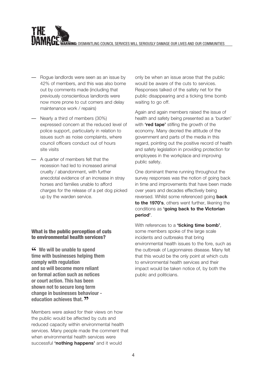WARNING: DISMANTLING COUNCIL SERVICES WILL SERIOUSLY DAMAGE OUR LIVES AND OUR COMMUNITIES

- Rogue landlords were seen as an issue by 42% of members, and this was also borne out by comments made (including that previously conscientious landlords were now more prone to cut corners and delay maintenance work / repairs)
- Nearly a third of members (30%) expressed concern at the reduced level of police support, particularly in relation to issues such as noise complaints, where council officers conduct out of hours site visits
- A quarter of members felt that the recession had led to increased animal cruelty / abandonment, with further anecdotal evidence of an increase in stray horses and families unable to afford charges for the release of a pet dog picked up by the warden service.

# What is the public perception of cuts to environmental health services?

**"C** We will be unable to spend **time with businesses helping them comply with regulation and so will become more reliant on formal action such as notices or court action. This has been shown not to secure long term change in businesses behaviour education achieves that. ??** 

Members were asked for their views on how the public would be affected by cuts and reduced capacity within environmental health services. Many people made the comment that when environmental health services were successful **'nothing happens'** and it would

only be when an issue arose that the public would be aware of the cuts to services. Responses talked of the safety net for the public disappearing and a ticking time bomb waiting to go off.

Again and again members raised the issue of health and safety being presented as a 'burden' with **'red tape'** stifling the growth of the economy. Many decried the attitude of the government and parts of the media in this regard, pointing out the positive record of health and safety legislation in providing protection for employees in the workplace and improving public safety.

One dominant theme running throughout the survey responses was the notion of going back in time and improvements that have been made over years and decades effectively being reversed. Whilst some referenced going **back to the 1970's**, others went further, likening the conditions as **'going back to the Victorian period'**.

With references to a **'ticking time bomb'**, some members spoke of the large scale incidents and outbreaks that bring environmental health issues to the fore, such as the outbreak of Legionnaires disease. Many felt that this would be the only point at which cuts to environmental health services and their impact would be taken notice of, by both the public and politicians.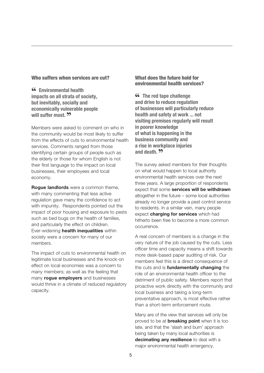#### Who suffers when services are cut?

**"Environmental health impacts on all strata of society, but inevitably, socially and economically vulnerable people will suffer most. <b>??** 

Members were asked to comment on who in the community would be most likely to suffer from the effects of cuts to environmental health services. Comments ranged from those identifying certain groups of people such as the elderly or those for whom English is not their first language to the impact on local businesses, their employees and local economy.

**Rogue landlords** were a common theme, with many commenting that less active regulation gave many the confidence to act with impunity. Respondents pointed out the impact of poor housing and exposure to pests such as bed bugs on the health of families. and particularly the effect on children. Ever-widening **health inequalities** within society were a concern for many of our members.

The impact of cuts to environmental health on legitimate local businesses and the knock-on effect on local economies was a concern to many members; as well as the feeling that many **rogue employers** and businesses would thrive in a climate of reduced regulatory capacity.

#### What does the future hold for environmental health services?

**"CC** The red tape challenge **and drive to reduce regulation of businesses will particularly reduce health and safety at work ... not visiting premises regularly will result in poorer knowledge of what is happening in the business community and a rise in workplace injuries**  and death. **<sup>22</sup>** 

The survey asked members for their thoughts on what would happen to local authority environmental health services over the next three years. A large proportion of respondents expect that some **services will be withdrawn** altogether in the future – some local authorities already no longer provide a pest control service to residents. In a similar vein, many people expect **charging for services** which had hitherto been free to become a more common occurrence.

A real concern of members is a change in the very nature of the job caused by the cuts. Less officer time and capacity means a shift towards more desk-based paper auditing of risk. Our members feel this is a direct consequence of the cuts and is **fundamentally changing** the role of an environmental health officer to the detriment of public safety. Members report that proactive work directly with the community and local business and taking a long-term preventative approach, is most effective rather than a short-term enforcement route.

Many are of the view that services will only be proved to be at **breaking point** when it is too late, and that the 'slash and burn' approach being taken by many local authorities is **decimating any resilience** to deal with a major environmental health emergency.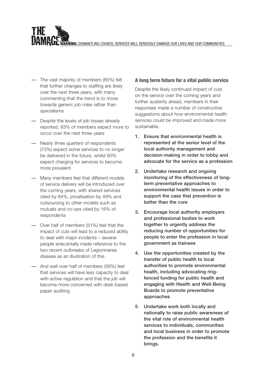WARNING: DISMANTLING COUNCIL SERVICES WILL SERIOUSLY DAMAGE OUR LIVES AND OUR COMMUNITIES

- The vast majority of members (85%) felt that further changes to staffing are likely over the next three years, with many commenting that the trend is to move towards generic job roles rather than specialisms
- Despite the levels of job losses already reported, 83% of members expect more to occur over the next three years
- Nearly three quarters of respondents (73%) expect some services to no longer be delivered in the future, whilst 60% expect charging for services to become more prevalent
- Many members feel that different models of service delivery will be introduced over the coming years, with shared services cited by 64%, privatisation by 49% and outsourcing to other models such as mutuals and co-ops cited by 16% of respondents
- Over half of members (51%) feel that the impact of cuts will lead to a reduced ability to deal with major incidents – several people anecdotally made reference to the two recent outbreaks of Legionnaires disease as an illustration of this
- And well over half of members (56%) feel that services will have less capacity to deal with active regulation and that the job will become more concerned with desk-based paper auditing

### A long term future for a vital public service

Despite the likely continued impact of cuts on the service over the coming years and further austerity ahead, members in their responses made a number of constructive suggestions about how environmental health services could be improved and made more sustainable.

- 1. Ensure that environmental health is represented at the senior level of the local authority management and decision-making in order to lobby and advocate for the service as a profession
- 2. Undertake research and ongoing monitoring of the effectiveness of longterm preventative approaches to environmental health issues in order to support the case that prevention is better than the cure
- 3. Encourage local authority employers and professional bodies to work together to urgently address the reducing number of opportunities for people to enter the profession in local government as trainees
- 4. Use the opportunities created by the transfer of public health to local authorities to promote environmental health, including advocating ringfenced funding for public health and engaging with Health and Well-Being Boards to promote preventative approaches
- 5. Undertake work both locally and nationally to raise public awareness of the vital role of environmental health services to individuals, communities and local business in order to promote the profession and the benefits it brings.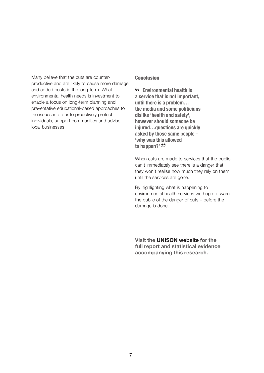Many believe that the cuts are counterproductive and are likely to cause more damage and added costs in the long-term. What environmental health needs is investment to enable a focus on long-term planning and preventative educational-based approaches to the issues in order to proactively protect individuals, support communities and advise local businesses.

### **Conclusion**

**"Environmental health is a service that is not important, until there is a problem… the media and some politicians dislike 'health and safety', however should someone be injured…questions are quickly asked by those same people – 'why was this allowed**  to happen?' **??** 

When cuts are made to services that the public can't immediately see there is a danger that they won't realise how much they rely on them until the services are gone.

By highlighting what is happening to environmental health services we hope to warn the public of the danger of cuts – before the damage is done.

**[Visit the UNISON website for the](http://www.unison.org.uk)  [full report and statistical evidence](http://www.unison.org.uk)  [accompanying this research.](http://www.unison.org.uk)**